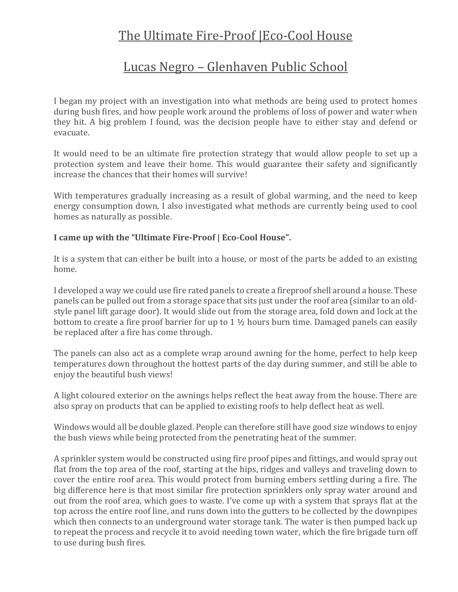## The Ultimate Fire-Proof | Eco-Cool House

## Lucas Negro – Glenhaven Public School

I began my project with an investigation into what methods are being used to protect homes during bush fires, and how people work around the problems of loss of power and water when they hit. A big problem I found, was the decision people have to either stay and defend or evacuate.

It would need to be an ultimate fire protection strategy that would allow people to set up a protection system and leave their home. This would guarantee their safety and significantly increase the chances that their homes will survive!

With temperatures gradually increasing as a result of global warming, and the need to keep energy consumption down, I also investigated what methods are currently being used to cool homes as naturally as possible.

## **I came up with the "Ultimate Fire-Proof | Eco-Cool House".**

It is a system that can either be built into a house, or most of the parts be added to an existing home.

I developed a way we could use fire rated panels to create a fireproof shell around a house. These panels can be pulled out from a storage space that sits just under the roof area (similar to an oldstyle panel lift garage door). It would slide out from the storage area, fold down and lock at the bottom to create a fire proof barrier for up to  $1\frac{1}{2}$  hours burn time. Damaged panels can easily be replaced after a fire has come through.

The panels can also act as a complete wrap around awning for the home, perfect to help keep temperatures down throughout the hottest parts of the day during summer, and still be able to enjoy the beautiful bush views!

A light coloured exterior on the awnings helps reflect the heat away from the house. There are also spray on products that can be applied to existing roofs to help deflect heat as well.

Windows would all be double glazed. People can therefore still have good size windows to enjoy the bush views while being protected from the penetrating heat of the summer.

A sprinkler system would be constructed using fire proof pipes and fittings, and would spray out flat from the top area of the roof, starting at the hips, ridges and valleys and traveling down to cover the entire roof area. This would protect from burning embers settling during a fire. The big difference here is that most similar fire protection sprinklers only spray water around and out from the roof area, which goes to waste. I've come up with a system that sprays flat at the top across the entire roof line, and runs down into the gutters to be collected by the downpipes which then connects to an underground water storage tank. The water is then pumped back up to repeat the process and recycle it to avoid needing town water, which the fire brigade turn off to use during bush fires.